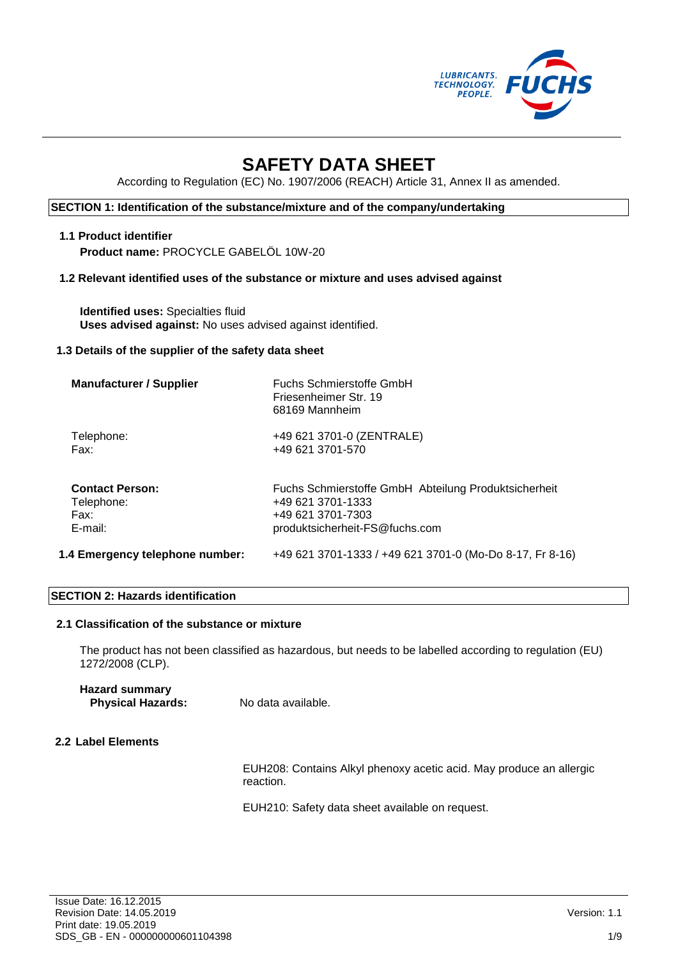

# **SAFETY DATA SHEET**

According to Regulation (EC) No. 1907/2006 (REACH) Article 31, Annex II as amended.

## **SECTION 1: Identification of the substance/mixture and of the company/undertaking**

# **1.1 Product identifier**

**Product name:** PROCYCLE GABELÖL 10W-20

#### **1.2 Relevant identified uses of the substance or mixture and uses advised against**

**Identified uses:** Specialties fluid **Uses advised against:** No uses advised against identified.

#### **1.3 Details of the supplier of the safety data sheet**

| <b>Manufacturer / Supplier</b>  | Fuchs Schmierstoffe GmbH<br>Friesenheimer Str. 19<br>68169 Mannheim |
|---------------------------------|---------------------------------------------------------------------|
| Telephone:                      | +49 621 3701-0 (ZENTRALE)                                           |
| Fax:                            | +49 621 3701-570                                                    |
| <b>Contact Person:</b>          | Fuchs Schmierstoffe GmbH Abteilung Produktsicherheit                |
| Telephone:                      | +49 621 3701-1333                                                   |
| Fax:                            | +49 621 3701-7303                                                   |
| E-mail:                         | produktsicherheit-FS@fuchs.com                                      |
| 1.4 Emergency telephone number: | +49 621 3701-1333 / +49 621 3701-0 (Mo-Do 8-17, Fr 8-16)            |

#### **SECTION 2: Hazards identification**

#### **2.1 Classification of the substance or mixture**

The product has not been classified as hazardous, but needs to be labelled according to regulation (EU) 1272/2008 (CLP).

# **Hazard summary Physical Hazards:** No data available.

## **2.2 Label Elements**

EUH208: Contains Alkyl phenoxy acetic acid. May produce an allergic reaction.

EUH210: Safety data sheet available on request.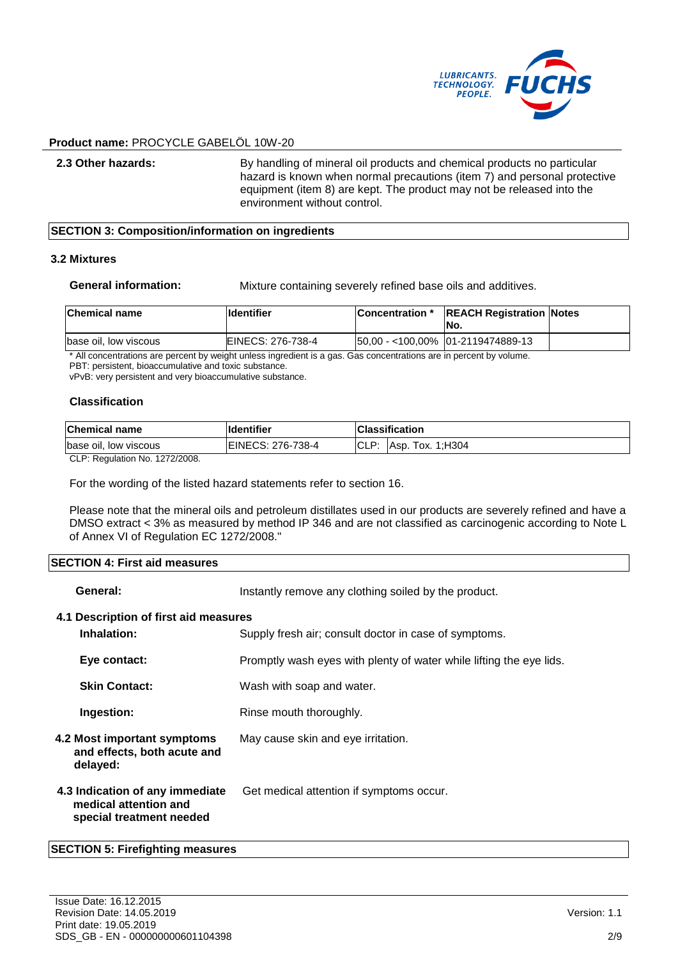

**2.3 Other hazards:** By handling of mineral oil products and chemical products no particular hazard is known when normal precautions (item 7) and personal protective equipment (item 8) are kept. The product may not be released into the environment without control.

#### **SECTION 3: Composition/information on ingredients**

#### **3.2 Mixtures**

**General information:** Mixture containing severely refined base oils and additives.

| <b>Chemical name</b>  | <b>Ildentifier</b> | <b>Concentration</b> * | <b>REACH Registration Notes</b><br>INo. |  |
|-----------------------|--------------------|------------------------|-----------------------------------------|--|
| base oil, low viscous | EINECS: 276-738-4  |                        | 50,00 - <100,00% 01-2119474889-13       |  |

All concentrations are percent by weight unless ingredient is a gas. Gas concentrations are in percent by volume.

PBT: persistent, bioaccumulative and toxic substance.

vPvB: very persistent and very bioaccumulative substance.

#### **Classification**

| ים ורו | <b>Chemical name</b>  | <b>Identifier</b> |        | <b>Classification</b>  |
|--------|-----------------------|-------------------|--------|------------------------|
|        | base oil, low viscous | EINECS: 276-738-4 | . ULL. | 1:H304<br>1ох.<br>Asp. |

CLP: Regulation No. 1272/2008.

For the wording of the listed hazard statements refer to section 16.

Please note that the mineral oils and petroleum distillates used in our products are severely refined and have a DMSO extract < 3% as measured by method IP 346 and are not classified as carcinogenic according to Note L of Annex VI of Regulation EC 1272/2008."

#### **SECTION 4: First aid measures**

| General:                                                                             | Instantly remove any clothing soiled by the product.                |
|--------------------------------------------------------------------------------------|---------------------------------------------------------------------|
| 4.1 Description of first aid measures<br>Inhalation:                                 | Supply fresh air; consult doctor in case of symptoms.               |
| Eye contact:                                                                         | Promptly wash eyes with plenty of water while lifting the eye lids. |
| <b>Skin Contact:</b>                                                                 | Wash with soap and water.                                           |
| Ingestion:                                                                           | Rinse mouth thoroughly.                                             |
| 4.2 Most important symptoms<br>and effects, both acute and<br>delayed:               | May cause skin and eye irritation.                                  |
| 4.3 Indication of any immediate<br>medical attention and<br>special treatment needed | Get medical attention if symptoms occur.                            |
| $\mathsf{E}\mathsf{C}\mathsf{TI}\mathsf{O}\mathsf{N}$ E. Eirofiabting mooguraa       |                                                                     |

#### **SECTION 5: Firefighting measures**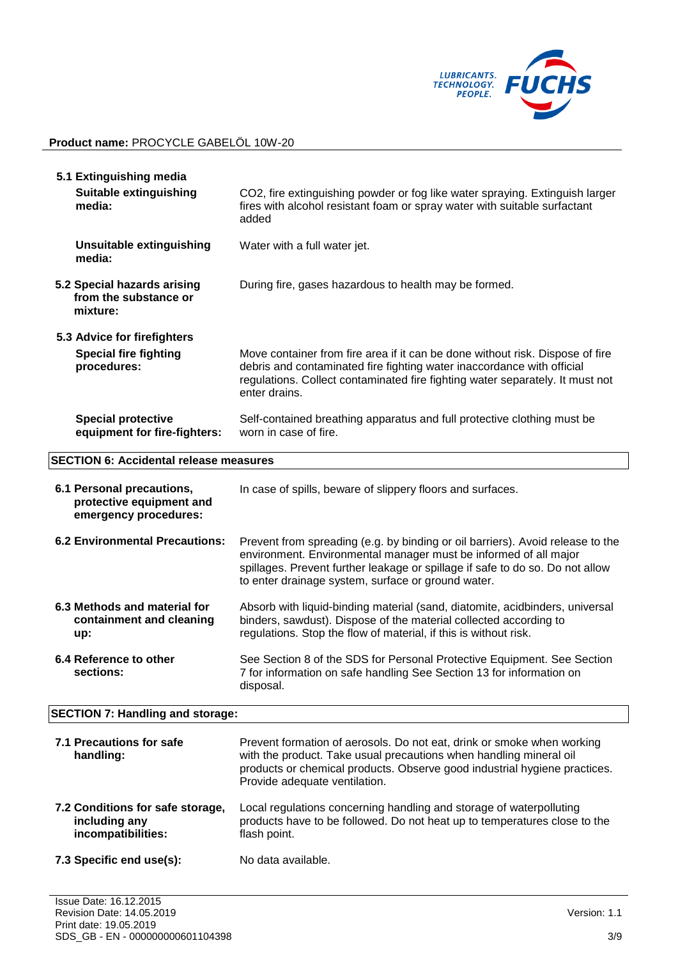

| 5.1 Extinguishing media<br><b>Suitable extinguishing</b><br>CO2, fire extinguishing powder or fog like water spraying. Extinguish larger<br>fires with alcohol resistant foam or spray water with suitable surfactant<br>media:<br>added |                                                                                                                                                                                                                                                                                           |  |  |
|------------------------------------------------------------------------------------------------------------------------------------------------------------------------------------------------------------------------------------------|-------------------------------------------------------------------------------------------------------------------------------------------------------------------------------------------------------------------------------------------------------------------------------------------|--|--|
| <b>Unsuitable extinguishing</b><br>media:                                                                                                                                                                                                | Water with a full water jet.                                                                                                                                                                                                                                                              |  |  |
| 5.2 Special hazards arising<br>from the substance or<br>mixture:                                                                                                                                                                         | During fire, gases hazardous to health may be formed.                                                                                                                                                                                                                                     |  |  |
| 5.3 Advice for firefighters                                                                                                                                                                                                              |                                                                                                                                                                                                                                                                                           |  |  |
| <b>Special fire fighting</b><br>procedures:                                                                                                                                                                                              | Move container from fire area if it can be done without risk. Dispose of fire<br>debris and contaminated fire fighting water inaccordance with official<br>regulations. Collect contaminated fire fighting water separately. It must not<br>enter drains.                                 |  |  |
| <b>Special protective</b><br>equipment for fire-fighters:                                                                                                                                                                                | Self-contained breathing apparatus and full protective clothing must be<br>worn in case of fire.                                                                                                                                                                                          |  |  |
| <b>SECTION 6: Accidental release measures</b>                                                                                                                                                                                            |                                                                                                                                                                                                                                                                                           |  |  |
| 6.1 Personal precautions,<br>protective equipment and<br>emergency procedures:                                                                                                                                                           | In case of spills, beware of slippery floors and surfaces.                                                                                                                                                                                                                                |  |  |
| <b>6.2 Environmental Precautions:</b>                                                                                                                                                                                                    | Prevent from spreading (e.g. by binding or oil barriers). Avoid release to the<br>environment. Environmental manager must be informed of all major<br>spillages. Prevent further leakage or spillage if safe to do so. Do not allow<br>to enter drainage system, surface or ground water. |  |  |
| 6.3 Methods and material for<br>containment and cleaning<br>up:                                                                                                                                                                          | Absorb with liquid-binding material (sand, diatomite, acidbinders, universal<br>binders, sawdust). Dispose of the material collected according to<br>regulations. Stop the flow of material, if this is without risk.                                                                     |  |  |
| 6.4 Reference to other<br>sections:                                                                                                                                                                                                      | See Section 8 of the SDS for Personal Protective Equipment. See Section<br>7 for information on safe handling See Section 13 for information on<br>disposal.                                                                                                                              |  |  |
| <b>SECTION 7: Handling and storage:</b>                                                                                                                                                                                                  |                                                                                                                                                                                                                                                                                           |  |  |
| 7.1 Precautions for safe<br>handling:                                                                                                                                                                                                    | Prevent formation of aerosols. Do not eat, drink or smoke when working<br>with the product. Take usual precautions when handling mineral oil<br>products or chemical products. Observe good industrial hygiene practices.<br>Provide adequate ventilation.                                |  |  |
| 7.2 Conditions for safe storage,<br>including any<br>incompatibilities:                                                                                                                                                                  | Local regulations concerning handling and storage of waterpolluting<br>products have to be followed. Do not heat up to temperatures close to the<br>flash point.                                                                                                                          |  |  |
| 7.3 Specific end use(s):                                                                                                                                                                                                                 | No data available.                                                                                                                                                                                                                                                                        |  |  |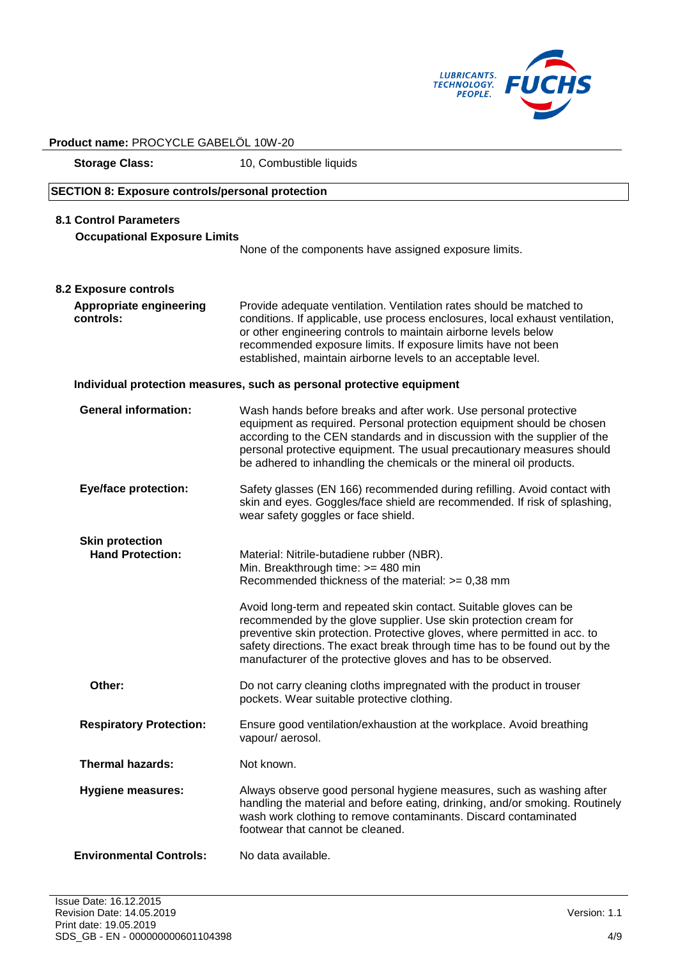

| Product name: PROCYCLE GABELOL 10W-20                                |                                                                                                                                                                                                                                                                                                                                                                         |  |
|----------------------------------------------------------------------|-------------------------------------------------------------------------------------------------------------------------------------------------------------------------------------------------------------------------------------------------------------------------------------------------------------------------------------------------------------------------|--|
| <b>Storage Class:</b>                                                | 10, Combustible liquids                                                                                                                                                                                                                                                                                                                                                 |  |
| <b>SECTION 8: Exposure controls/personal protection</b>              |                                                                                                                                                                                                                                                                                                                                                                         |  |
| <b>8.1 Control Parameters</b><br><b>Occupational Exposure Limits</b> |                                                                                                                                                                                                                                                                                                                                                                         |  |
|                                                                      | None of the components have assigned exposure limits.                                                                                                                                                                                                                                                                                                                   |  |
| 8.2 Exposure controls                                                |                                                                                                                                                                                                                                                                                                                                                                         |  |
| Appropriate engineering<br>controls:                                 | Provide adequate ventilation. Ventilation rates should be matched to<br>conditions. If applicable, use process enclosures, local exhaust ventilation,<br>or other engineering controls to maintain airborne levels below<br>recommended exposure limits. If exposure limits have not been<br>established, maintain airborne levels to an acceptable level.              |  |
|                                                                      | Individual protection measures, such as personal protective equipment                                                                                                                                                                                                                                                                                                   |  |
| <b>General information:</b>                                          | Wash hands before breaks and after work. Use personal protective<br>equipment as required. Personal protection equipment should be chosen<br>according to the CEN standards and in discussion with the supplier of the<br>personal protective equipment. The usual precautionary measures should<br>be adhered to inhandling the chemicals or the mineral oil products. |  |
| <b>Eye/face protection:</b>                                          | Safety glasses (EN 166) recommended during refilling. Avoid contact with<br>skin and eyes. Goggles/face shield are recommended. If risk of splashing,<br>wear safety goggles or face shield.                                                                                                                                                                            |  |
| <b>Skin protection</b><br><b>Hand Protection:</b>                    | Material: Nitrile-butadiene rubber (NBR).<br>Min. Breakthrough time: >= 480 min<br>Recommended thickness of the material: >= 0,38 mm                                                                                                                                                                                                                                    |  |
|                                                                      | Avoid long-term and repeated skin contact. Suitable gloves can be<br>recommended by the glove supplier. Use skin protection cream for<br>preventive skin protection. Protective gloves, where permitted in acc. to<br>safety directions. The exact break through time has to be found out by the<br>manufacturer of the protective gloves and has to be observed.       |  |
| Other:                                                               | Do not carry cleaning cloths impregnated with the product in trouser<br>pockets. Wear suitable protective clothing.                                                                                                                                                                                                                                                     |  |
| <b>Respiratory Protection:</b>                                       | Ensure good ventilation/exhaustion at the workplace. Avoid breathing<br>vapour/aerosol.                                                                                                                                                                                                                                                                                 |  |
| <b>Thermal hazards:</b>                                              | Not known.                                                                                                                                                                                                                                                                                                                                                              |  |
| <b>Hygiene measures:</b>                                             | Always observe good personal hygiene measures, such as washing after<br>handling the material and before eating, drinking, and/or smoking. Routinely<br>wash work clothing to remove contaminants. Discard contaminated<br>footwear that cannot be cleaned.                                                                                                             |  |
| <b>Environmental Controls:</b>                                       | No data available.                                                                                                                                                                                                                                                                                                                                                      |  |

 $\ddot{\phantom{a}}$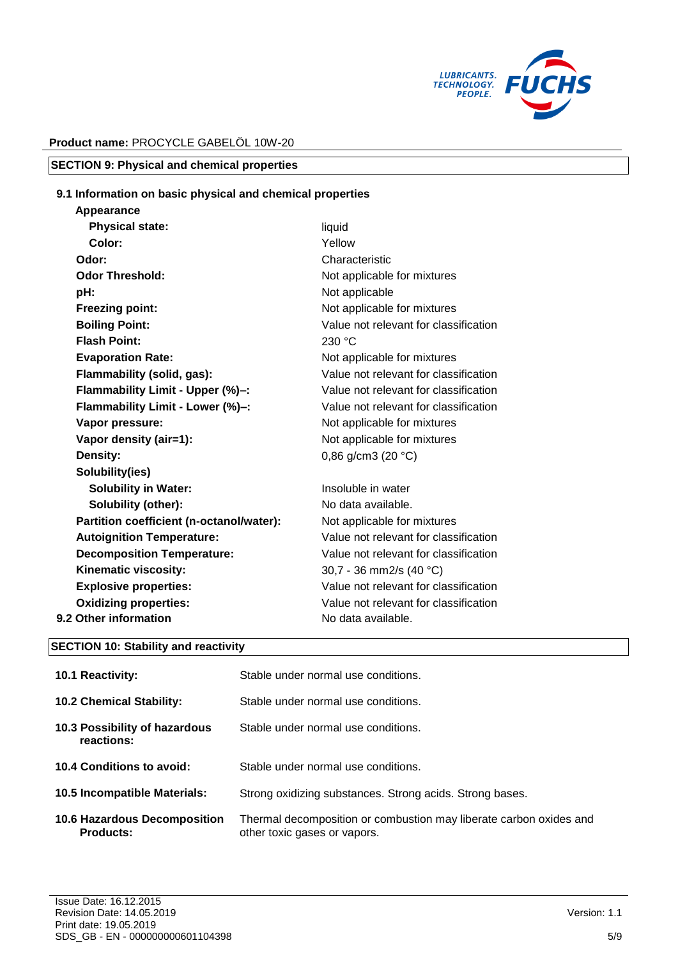

# **SECTION 9: Physical and chemical properties**

## **9.1 Information on basic physical and chemical properties**

| Appearance                               |                                       |
|------------------------------------------|---------------------------------------|
| <b>Physical state:</b>                   | liquid                                |
| Color:                                   | Yellow                                |
| Odor:                                    | Characteristic                        |
| <b>Odor Threshold:</b>                   | Not applicable for mixtures           |
| pH:                                      | Not applicable                        |
| <b>Freezing point:</b>                   | Not applicable for mixtures           |
| <b>Boiling Point:</b>                    | Value not relevant for classification |
| <b>Flash Point:</b>                      | 230 °C                                |
| <b>Evaporation Rate:</b>                 | Not applicable for mixtures           |
| Flammability (solid, gas):               | Value not relevant for classification |
| Flammability Limit - Upper (%)-:         | Value not relevant for classification |
| Flammability Limit - Lower (%)-:         | Value not relevant for classification |
| Vapor pressure:                          | Not applicable for mixtures           |
| Vapor density (air=1):                   | Not applicable for mixtures           |
| Density:                                 | 0,86 g/cm3 (20 $°C$ )                 |
| Solubility(ies)                          |                                       |
| <b>Solubility in Water:</b>              | Insoluble in water                    |
| <b>Solubility (other):</b>               | No data available.                    |
| Partition coefficient (n-octanol/water): | Not applicable for mixtures           |
| <b>Autoignition Temperature:</b>         | Value not relevant for classification |
| <b>Decomposition Temperature:</b>        | Value not relevant for classification |
| Kinematic viscosity:                     | 30,7 - 36 mm2/s (40 °C)               |
| <b>Explosive properties:</b>             | Value not relevant for classification |
| <b>Oxidizing properties:</b>             | Value not relevant for classification |
| 9.2 Other information                    | No data available.                    |
|                                          |                                       |

#### **SECTION 10: Stability and reactivity**

| <b>10.1 Reactivity:</b>                                 | Stable under normal use conditions.                                                                |
|---------------------------------------------------------|----------------------------------------------------------------------------------------------------|
| <b>10.2 Chemical Stability:</b>                         | Stable under normal use conditions.                                                                |
| 10.3 Possibility of hazardous<br>reactions:             | Stable under normal use conditions.                                                                |
| 10.4 Conditions to avoid:                               | Stable under normal use conditions.                                                                |
| 10.5 Incompatible Materials:                            | Strong oxidizing substances. Strong acids. Strong bases.                                           |
| <b>10.6 Hazardous Decomposition</b><br><b>Products:</b> | Thermal decomposition or combustion may liberate carbon oxides and<br>other toxic gases or vapors. |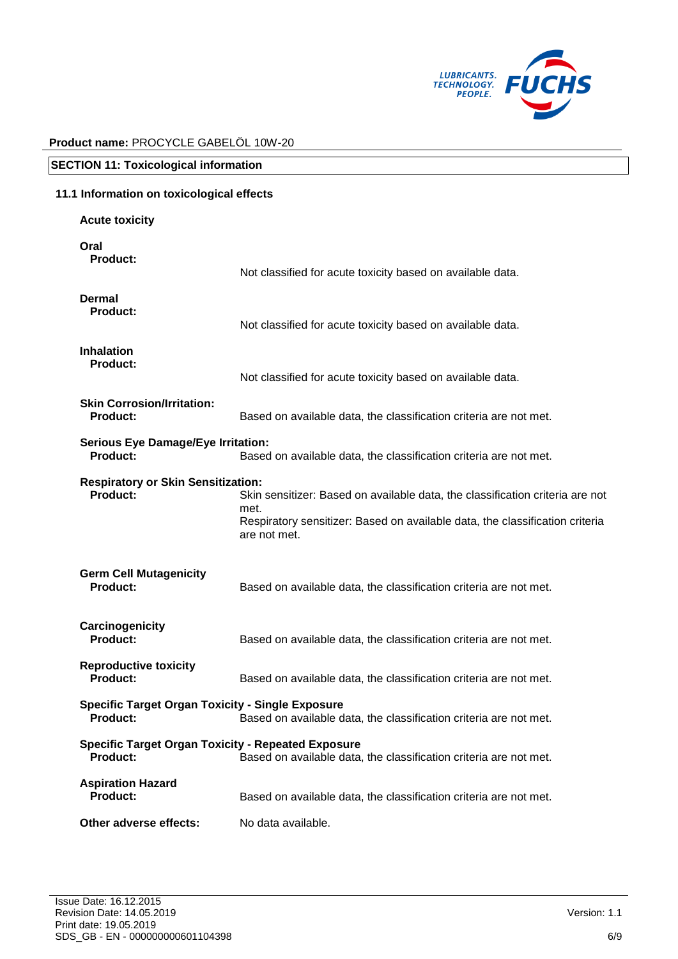

| <b>SECTION 11: Toxicological information</b>                                 |                                                                                                                                                                                       |  |  |
|------------------------------------------------------------------------------|---------------------------------------------------------------------------------------------------------------------------------------------------------------------------------------|--|--|
| 11.1 Information on toxicological effects                                    |                                                                                                                                                                                       |  |  |
| <b>Acute toxicity</b>                                                        |                                                                                                                                                                                       |  |  |
| Oral<br>Product:                                                             | Not classified for acute toxicity based on available data.                                                                                                                            |  |  |
| <b>Dermal</b><br><b>Product:</b>                                             | Not classified for acute toxicity based on available data.                                                                                                                            |  |  |
| <b>Inhalation</b><br><b>Product:</b>                                         | Not classified for acute toxicity based on available data.                                                                                                                            |  |  |
| <b>Skin Corrosion/Irritation:</b><br><b>Product:</b>                         | Based on available data, the classification criteria are not met.                                                                                                                     |  |  |
| <b>Serious Eye Damage/Eye Irritation:</b><br>Product:                        | Based on available data, the classification criteria are not met.                                                                                                                     |  |  |
| <b>Respiratory or Skin Sensitization:</b><br><b>Product:</b>                 | Skin sensitizer: Based on available data, the classification criteria are not<br>met.<br>Respiratory sensitizer: Based on available data, the classification criteria<br>are not met. |  |  |
| <b>Germ Cell Mutagenicity</b><br><b>Product:</b>                             | Based on available data, the classification criteria are not met.                                                                                                                     |  |  |
| Carcinogenicity<br><b>Product:</b>                                           | Based on available data, the classification criteria are not met.                                                                                                                     |  |  |
| <b>Reproductive toxicity</b><br><b>Product:</b>                              | Based on available data, the classification criteria are not met.                                                                                                                     |  |  |
| <b>Specific Target Organ Toxicity - Single Exposure</b><br><b>Product:</b>   | Based on available data, the classification criteria are not met.                                                                                                                     |  |  |
| <b>Specific Target Organ Toxicity - Repeated Exposure</b><br><b>Product:</b> | Based on available data, the classification criteria are not met.                                                                                                                     |  |  |
| <b>Aspiration Hazard</b><br>Product:                                         | Based on available data, the classification criteria are not met.                                                                                                                     |  |  |
| Other adverse effects:                                                       | No data available.                                                                                                                                                                    |  |  |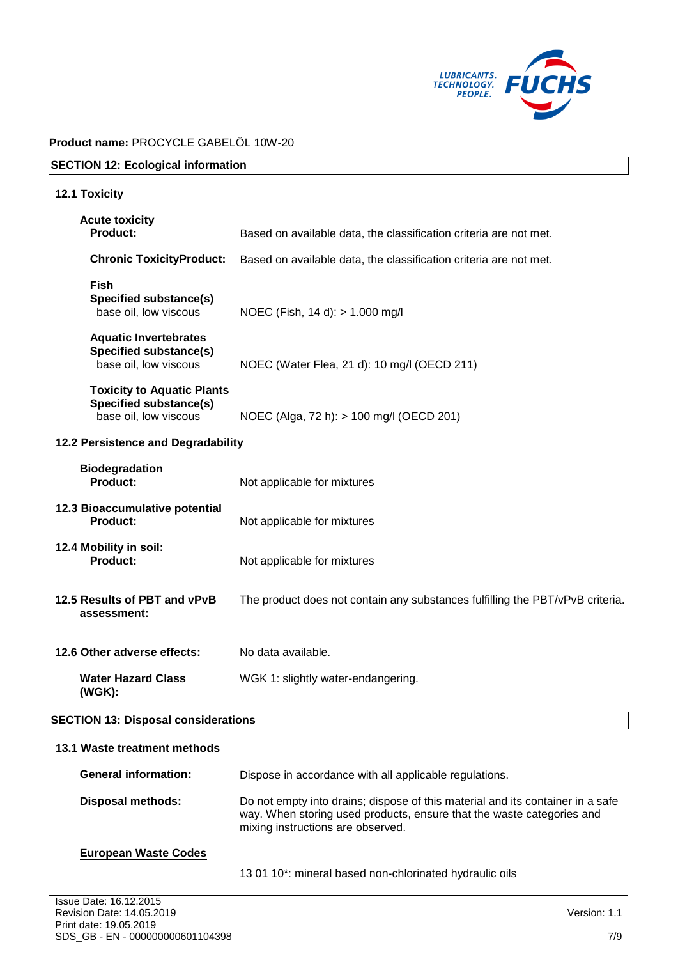

| <b>SECTION 12: Ecological information</b>                                                   |                                                                               |  |
|---------------------------------------------------------------------------------------------|-------------------------------------------------------------------------------|--|
| <b>12.1 Toxicity</b>                                                                        |                                                                               |  |
| <b>Acute toxicity</b><br><b>Product:</b>                                                    | Based on available data, the classification criteria are not met.             |  |
| <b>Chronic ToxicityProduct:</b>                                                             | Based on available data, the classification criteria are not met.             |  |
| <b>Fish</b><br><b>Specified substance(s)</b><br>base oil, low viscous                       | NOEC (Fish, 14 d): > 1.000 mg/l                                               |  |
| <b>Aquatic Invertebrates</b><br><b>Specified substance(s)</b><br>base oil, low viscous      | NOEC (Water Flea, 21 d): 10 mg/l (OECD 211)                                   |  |
| <b>Toxicity to Aquatic Plants</b><br><b>Specified substance(s)</b><br>base oil, low viscous | NOEC (Alga, 72 h): > 100 mg/l (OECD 201)                                      |  |
| 12.2 Persistence and Degradability                                                          |                                                                               |  |
| <b>Biodegradation</b><br><b>Product:</b>                                                    | Not applicable for mixtures                                                   |  |
| 12.3 Bioaccumulative potential<br>Product:                                                  | Not applicable for mixtures                                                   |  |
| 12.4 Mobility in soil:<br><b>Product:</b>                                                   | Not applicable for mixtures                                                   |  |
| 12.5 Results of PBT and vPvB<br>assessment:                                                 | The product does not contain any substances fulfilling the PBT/vPvB criteria. |  |
| 12.6 Other adverse effects:                                                                 | No data available.                                                            |  |
| <b>Water Hazard Class</b><br>(WGK):                                                         | WGK 1: slightly water-endangering.                                            |  |
| <b>SECTION 13: Disposal considerations</b>                                                  |                                                                               |  |
| 13.1 Waste treatment methods                                                                |                                                                               |  |
| <b>General information:</b>                                                                 | Dispose in accordance with all applicable regulations.                        |  |

| <b>Disposal methods:</b> | Do not empty into drains; dispose of this material and its container in a safe<br>way. When storing used products, ensure that the waste categories and<br>mixing instructions are observed. |
|--------------------------|----------------------------------------------------------------------------------------------------------------------------------------------------------------------------------------------|
|                          |                                                                                                                                                                                              |

# **European Waste Codes**

13 01 10\*: mineral based non-chlorinated hydraulic oils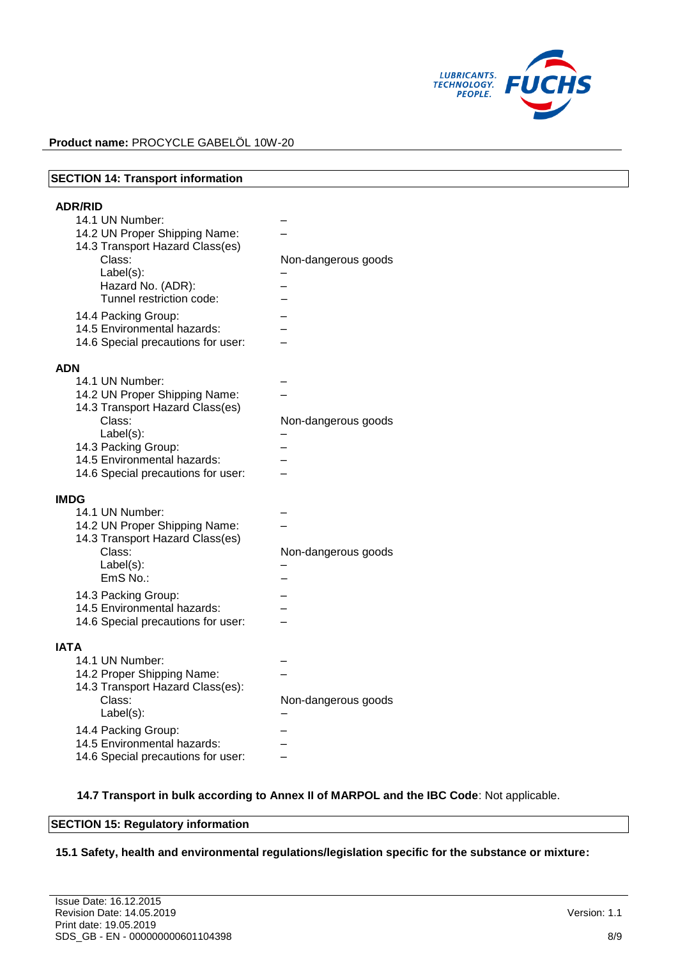

| <b>SECTION 14: Transport information</b>                                                                                                                                                                                                                                     |                     |
|------------------------------------------------------------------------------------------------------------------------------------------------------------------------------------------------------------------------------------------------------------------------------|---------------------|
| <b>ADR/RID</b><br>14.1 UN Number:<br>14.2 UN Proper Shipping Name:<br>14.3 Transport Hazard Class(es)<br>Class:<br>$Label(s)$ :<br>Hazard No. (ADR):<br>Tunnel restriction code:<br>14.4 Packing Group:<br>14.5 Environmental hazards:<br>14.6 Special precautions for user: | Non-dangerous goods |
| <b>ADN</b><br>14.1 UN Number:<br>14.2 UN Proper Shipping Name:<br>14.3 Transport Hazard Class(es)<br>Class:<br>Label(s):<br>14.3 Packing Group:<br>14.5 Environmental hazards:<br>14.6 Special precautions for user:                                                         | Non-dangerous goods |
| <b>IMDG</b><br>14.1 UN Number:<br>14.2 UN Proper Shipping Name:<br>14.3 Transport Hazard Class(es)<br>Class:<br>Label(s):<br>EmS No.:<br>14.3 Packing Group:<br>14.5 Environmental hazards:<br>14.6 Special precautions for user:                                            | Non-dangerous goods |
| <b>IATA</b><br>14.1 UN Number:<br>14.2 Proper Shipping Name:<br>14.3 Transport Hazard Class(es):<br>Class:<br>Label(s):<br>14.4 Packing Group:<br>14.5 Environmental hazards:<br>14.6 Special precautions for user:                                                          | Non-dangerous goods |

# **14.7 Transport in bulk according to Annex II of MARPOL and the IBC Code**: Not applicable.

# **SECTION 15: Regulatory information**

## **15.1 Safety, health and environmental regulations/legislation specific for the substance or mixture:**